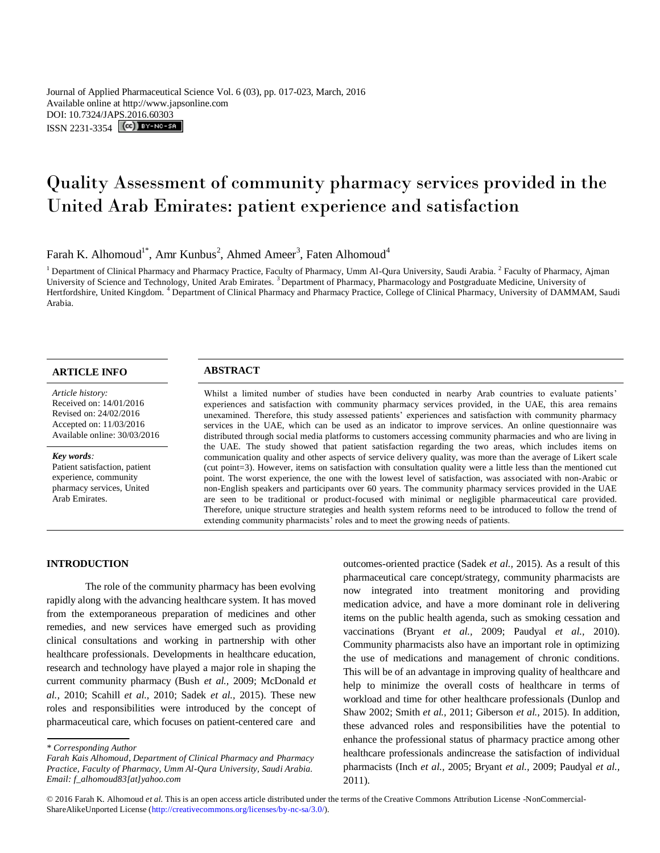Journal of Applied Pharmaceutical Science Vol. 6 (03), pp. 017-023, March, 2016 Available online at http://www.japsonline.com DOI: 10.7324/JA[PS.2016.60303](http://creativecommons.org/licenses/by-nc-sa/3.0/) ISSN 2231-3354 **(cc)** BY-NO-SA

# Quality Assessment of community pharmacy services provided in the United Arab Emirates: patient experience and satisfaction

# Farah K. Alhomoud<sup>1\*</sup>, Amr Kunbus<sup>2</sup>, Ahmed Ameer<sup>3</sup>, Faten Alhomoud<sup>4</sup>

<sup>1</sup> Department of Clinical Pharmacy and Pharmacy Practice, Faculty of Pharmacy, Umm Al-Qura University, Saudi Arabia. <sup>2</sup> Faculty of Pharmacy, Ajman University of Science and Technology, United Arab Emirates. <sup>3</sup>Department of Pharmacy, Pharmacology and Postgraduate Medicine, University of Hertfordshire, United Kingdom. <sup>4</sup> Department of Clinical Pharmacy and Pharmacy Practice, College of Clinical Pharmacy, University of DAMMAM, Saudi Arabia.

# **ARTICLE INFO ABSTRACT**

*Article history:* Received on: 14/01/2016 Revised on: 24/02/2016 Accepted on: 11/03/2016 Available online: 30/03/2016

#### *Key words:*

Patient satisfaction, patient experience, community pharmacy services, United Arab Emirates.

Whilst a limited number of studies have been conducted in nearby Arab countries to evaluate patients' experiences and satisfaction with community pharmacy services provided, in the UAE, this area remains unexamined. Therefore, this study assessed patients' experiences and satisfaction with community pharmacy services in the UAE, which can be used as an indicator to improve services. An online questionnaire was distributed through social media platforms to customers accessing community pharmacies and who are living in the UAE. The study showed that patient satisfaction regarding the two areas, which includes items on communication quality and other aspects of service delivery quality, was more than the average of Likert scale (cut point=3). However, items on satisfaction with consultation quality were a little less than the mentioned cut point. The worst experience, the one with the lowest level of satisfaction, was associated with non-Arabic or non-English speakers and participants over 60 years. The community pharmacy services provided in the UAE are seen to be traditional or product-focused with minimal or negligible pharmaceutical care provided. Therefore, unique structure strategies and health system reforms need to be introduced to follow the trend of extending community pharmacists' roles and to meet the growing needs of patients.

# **INTRODUCTION**

The role of the community pharmacy has been evolving rapidly along with the advancing healthcare system. It has moved from the extemporaneous preparation of medicines and other remedies, and new services have emerged such as providing clinical consultations and working in partnership with other healthcare professionals. Developments in healthcare education, research and technology have played a major role in shaping the current community pharmacy (Bush *et al.,* 2009; McDonald *et al.,* 2010; Scahill *et al.,* 2010; Sadek *et al.,* 2015). These new roles and responsibilities were introduced by the concept of pharmaceutical care, which focuses on patient-centered care and

outcomes-oriented practice (Sadek *et al.,* 2015). As a result of this pharmaceutical care concept/strategy, community pharmacists are now integrated into treatment monitoring and providing medication advice, and have a more dominant role in delivering items on the public health agenda, such as smoking cessation and vaccinations (Bryant *et al.,* 2009; Paudyal *et al.,* 2010). Community pharmacists also have an important role in optimizing the use of medications and management of chronic conditions. This will be of an advantage in improving quality of healthcare and help to minimize the overall costs of healthcare in terms of workload and time for other healthcare professionals (Dunlop and Shaw 2002; Smith *et al.,* 2011; Giberson *et al.,* 2015). In addition, these advanced roles and responsibilities have the potential to enhance the professional status of pharmacy practice among other healthcare professionals andincrease the satisfaction of individual pharmacists (Inch *et al.,* 2005; Bryant *et al.,* 2009; Paudyal *et al.,*  2011).

*<sup>\*</sup> Corresponding Author*

*Farah Kais Alhomoud, Department of Clinical Pharmacy and Pharmacy Practice, Faculty of Pharmacy, Umm Al-Qura University, Saudi Arabia. Email: f\_alhomoud83[at]yahoo.com*

<sup>© 2016</sup> Farah K. Alhomoud *et al.* This is an open access article distributed under the terms of the Creative Commons Attribution License -NonCommercial-ShareAlikeUnported License (http://creativecommons.org/licenses/by-nc-sa/3.0/).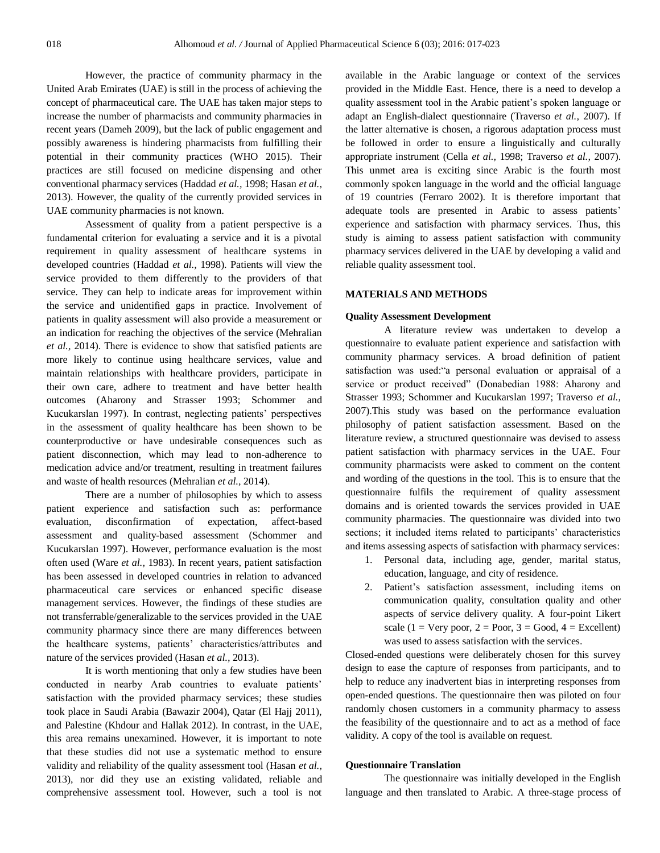However, the practice of community pharmacy in the United Arab Emirates (UAE) is still in the process of achieving the concept of pharmaceutical care. The UAE has taken major steps to increase the number of pharmacists and community pharmacies in recent years (Dameh 2009), but the lack of public engagement and possibly awareness is hindering pharmacists from fulfilling their potential in their community practices (WHO 2015). Their practices are still focused on medicine dispensing and other conventional pharmacy services (Haddad *et al.,* 1998; Hasan *et al.,*  2013). However, the quality of the currently provided services in UAE community pharmacies is not known.

Assessment of quality from a patient perspective is a fundamental criterion for evaluating a service and it is a pivotal requirement in quality assessment of healthcare systems in developed countries (Haddad *et al.,* 1998). Patients will view the service provided to them differently to the providers of that service. They can help to indicate areas for improvement within the service and unidentified gaps in practice. Involvement of patients in quality assessment will also provide a measurement or an indication for reaching the objectives of the service (Mehralian *et al.,* 2014). There is evidence to show that satisfied patients are more likely to continue using healthcare services, value and maintain relationships with healthcare providers, participate in their own care, adhere to treatment and have better health outcomes (Aharony and Strasser 1993; Schommer and Kucukarslan 1997). In contrast, neglecting patients' perspectives in the assessment of quality healthcare has been shown to be counterproductive or have undesirable consequences such as patient disconnection, which may lead to non-adherence to medication advice and/or treatment, resulting in treatment failures and waste of health resources (Mehralian *et al.,* 2014).

There are a number of philosophies by which to assess patient experience and satisfaction such as: performance evaluation, disconfirmation of expectation, affect-based assessment and quality-based assessment (Schommer and Kucukarslan 1997). However, performance evaluation is the most often used (Ware *et al.,* 1983). In recent years, patient satisfaction has been assessed in developed countries in relation to advanced pharmaceutical care services or enhanced specific disease management services. However, the findings of these studies are not transferrable/generalizable to the services provided in the UAE community pharmacy since there are many differences between the healthcare systems, patients' characteristics/attributes and nature of the services provided (Hasan *et al.,* 2013).

It is worth mentioning that only a few studies have been conducted in nearby Arab countries to evaluate patients' satisfaction with the provided pharmacy services; these studies took place in Saudi Arabia (Bawazir 2004), Qatar (El Hajj 2011), and Palestine (Khdour and Hallak 2012). In contrast, in the UAE, this area remains unexamined. However, it is important to note that these studies did not use a systematic method to ensure validity and reliability of the quality assessment tool (Hasan *et al.,*  2013), nor did they use an existing validated, reliable and comprehensive assessment tool. However, such a tool is not

available in the Arabic language or context of the services provided in the Middle East. Hence, there is a need to develop a quality assessment tool in the Arabic patient's spoken language or adapt an English-dialect questionnaire (Traverso *et al.,* 2007). If the latter alternative is chosen, a rigorous adaptation process must be followed in order to ensure a linguistically and culturally appropriate instrument (Cella *et al.,* 1998; Traverso *et al.,* 2007). This unmet area is exciting since Arabic is the fourth most commonly spoken language in the world and the official language of 19 countries (Ferraro 2002). It is therefore important that adequate tools are presented in Arabic to assess patients' experience and satisfaction with pharmacy services. Thus, this study is aiming to assess patient satisfaction with community pharmacy services delivered in the UAE by developing a valid and reliable quality assessment tool.

# **MATERIALS AND METHODS**

#### **Quality Assessment Development**

A literature review was undertaken to develop a questionnaire to evaluate patient experience and satisfaction with community pharmacy services. A broad definition of patient satisfaction was used:"a personal evaluation or appraisal of a service or product received" (Donabedian 1988: Aharony and Strasser 1993; Schommer and Kucukarslan 1997; Traverso *et al.,*  2007).This study was based on the performance evaluation philosophy of patient satisfaction assessment. Based on the literature review, a structured questionnaire was devised to assess patient satisfaction with pharmacy services in the UAE. Four community pharmacists were asked to comment on the content and wording of the questions in the tool. This is to ensure that the questionnaire fulfils the requirement of quality assessment domains and is oriented towards the services provided in UAE community pharmacies. The questionnaire was divided into two sections; it included items related to participants' characteristics and items assessing aspects of satisfaction with pharmacy services:

- 1. Personal data, including age, gender, marital status, education, language, and city of residence.
- 2. Patient's satisfaction assessment, including items on communication quality, consultation quality and other aspects of service delivery quality. A four-point Likert scale (1 = Very poor, 2 = Poor, 3 = Good, 4 = Excellent) was used to assess satisfaction with the services.

Closed-ended questions were deliberately chosen for this survey design to ease the capture of responses from participants, and to help to reduce any inadvertent bias in interpreting responses from open-ended questions. The questionnaire then was piloted on four randomly chosen customers in a community pharmacy to assess the feasibility of the questionnaire and to act as a method of face validity. A copy of the tool is available on request.

# **Questionnaire Translation**

The questionnaire was initially developed in the English language and then translated to Arabic. A three-stage process of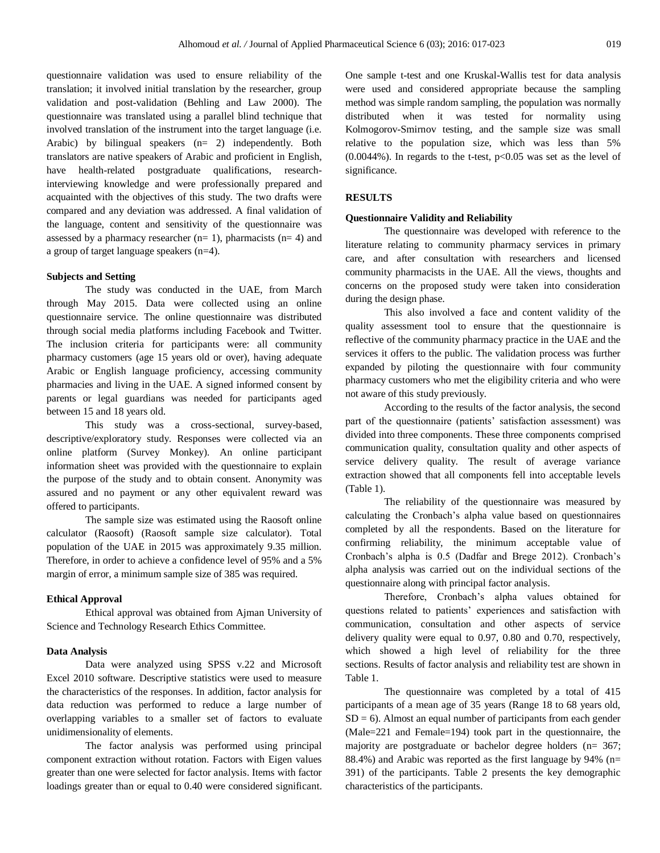questionnaire validation was used to ensure reliability of the translation; it involved initial translation by the researcher, group validation and post-validation (Behling and Law 2000). The questionnaire was translated using a parallel blind technique that involved translation of the instrument into the target language (i.e. Arabic) by bilingual speakers (n= 2) independently. Both translators are native speakers of Arabic and proficient in English, have health-related postgraduate qualifications, researchinterviewing knowledge and were professionally prepared and acquainted with the objectives of this study. The two drafts were compared and any deviation was addressed. A final validation of the language, content and sensitivity of the questionnaire was assessed by a pharmacy researcher ( $n= 1$ ), pharmacists ( $n= 4$ ) and a group of target language speakers (n=4).

# **Subjects and Setting**

The study was conducted in the UAE, from March through May 2015. Data were collected using an online questionnaire service. The online questionnaire was distributed through social media platforms including Facebook and Twitter. The inclusion criteria for participants were: all community pharmacy customers (age 15 years old or over), having adequate Arabic or English language proficiency, accessing community pharmacies and living in the UAE. A signed informed consent by parents or legal guardians was needed for participants aged between 15 and 18 years old.

This study was a cross-sectional, survey-based, descriptive/exploratory study. Responses were collected via an online platform (Survey Monkey). An online participant information sheet was provided with the questionnaire to explain the purpose of the study and to obtain consent. Anonymity was assured and no payment or any other equivalent reward was offered to participants.

The sample size was estimated using the Raosoft online calculator (Raosoft) (Raosoft sample size calculator). Total population of the UAE in 2015 was approximately 9.35 million. Therefore, in order to achieve a confidence level of 95% and a 5% margin of error, a minimum sample size of 385 was required.

### **Ethical Approval**

Ethical approval was obtained from Ajman University of Science and Technology Research Ethics Committee.

# **Data Analysis**

Data were analyzed using SPSS v.22 and Microsoft Excel 2010 software. Descriptive statistics were used to measure the characteristics of the responses. In addition, factor analysis for data reduction was performed to reduce a large number of overlapping variables to a smaller set of factors to evaluate unidimensionality of elements.

The factor analysis was performed using principal component extraction without rotation. Factors with Eigen values greater than one were selected for factor analysis. Items with factor loadings greater than or equal to 0.40 were considered significant.

One sample t-test and one Kruskal-Wallis test for data analysis were used and considered appropriate because the sampling method was simple random sampling, the population was normally distributed when it was tested for normality using Kolmogorov-Smirnov testing, and the sample size was small relative to the population size, which was less than 5%  $(0.0044\%)$ . In regards to the t-test,  $p<0.05$  was set as the level of significance.

# **RESULTS**

#### **Questionnaire Validity and Reliability**

The questionnaire was developed with reference to the literature relating to community pharmacy services in primary care, and after consultation with researchers and licensed community pharmacists in the UAE. All the views, thoughts and concerns on the proposed study were taken into consideration during the design phase.

This also involved a face and content validity of the quality assessment tool to ensure that the questionnaire is reflective of the community pharmacy practice in the UAE and the services it offers to the public. The validation process was further expanded by piloting the questionnaire with four community pharmacy customers who met the eligibility criteria and who were not aware of this study previously.

According to the results of the factor analysis, the second part of the questionnaire (patients' satisfaction assessment) was divided into three components. These three components comprised communication quality, consultation quality and other aspects of service delivery quality. The result of average variance extraction showed that all components fell into acceptable levels (Table 1).

The reliability of the questionnaire was measured by calculating the Cronbach's alpha value based on questionnaires completed by all the respondents. Based on the literature for confirming reliability, the minimum acceptable value of Cronbach's alpha is 0.5 (Dadfar and Brege 2012). Cronbach's alpha analysis was carried out on the individual sections of the questionnaire along with principal factor analysis.

Therefore, Cronbach's alpha values obtained for questions related to patients' experiences and satisfaction with communication, consultation and other aspects of service delivery quality were equal to 0.97, 0.80 and 0.70, respectively, which showed a high level of reliability for the three sections. Results of factor analysis and reliability test are shown in Table 1.

The questionnaire was completed by a total of 415 participants of a mean age of 35 years (Range 18 to 68 years old,  $SD = 6$ ). Almost an equal number of participants from each gender (Male=221 and Female=194) took part in the questionnaire, the majority are postgraduate or bachelor degree holders (n= 367; 88.4%) and Arabic was reported as the first language by 94% (n= 391) of the participants. Table 2 presents the key demographic characteristics of the participants.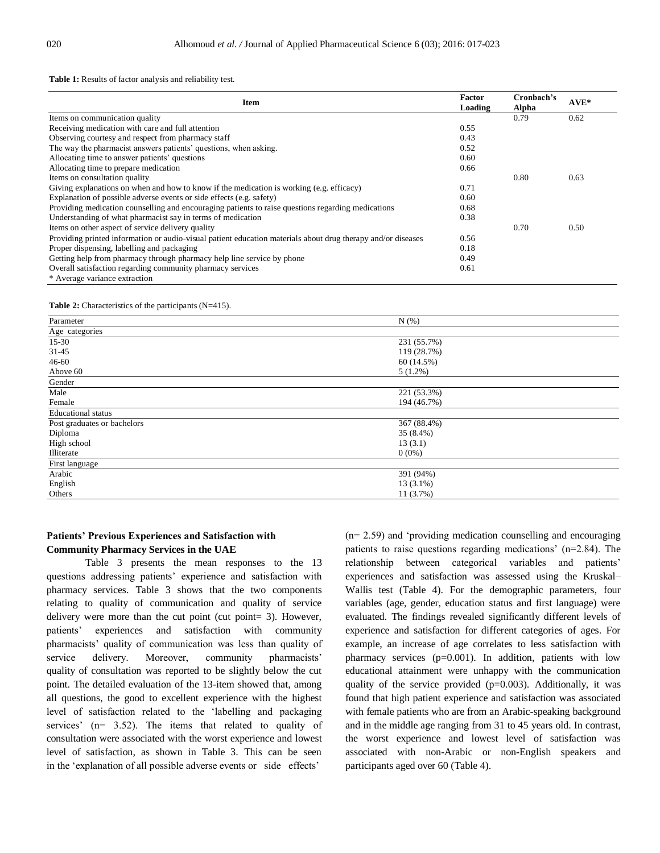**Table 1:** Results of factor analysis and reliability test.

| <b>Item</b>                                                                                                  |      | Cronbach's<br>Alpha | $AVE*$ |
|--------------------------------------------------------------------------------------------------------------|------|---------------------|--------|
| Items on communication quality                                                                               |      | 0.79                | 0.62   |
| Receiving medication with care and full attention                                                            | 0.55 |                     |        |
| Observing courtesy and respect from pharmacy staff                                                           | 0.43 |                     |        |
| The way the pharmacist answers patients' questions, when asking.                                             | 0.52 |                     |        |
| Allocating time to answer patients' questions                                                                | 0.60 |                     |        |
| Allocating time to prepare medication                                                                        | 0.66 |                     |        |
| Items on consultation quality                                                                                |      | 0.80                | 0.63   |
| Giving explanations on when and how to know if the medication is working (e.g. efficacy)                     | 0.71 |                     |        |
| Explanation of possible adverse events or side effects (e.g. safety)                                         | 0.60 |                     |        |
| Providing medication counselling and encouraging patients to raise questions regarding medications           | 0.68 |                     |        |
| Understanding of what pharmacist say in terms of medication                                                  | 0.38 |                     |        |
| Items on other aspect of service delivery quality                                                            |      | 0.70                | 0.50   |
| Providing printed information or audio-visual patient education materials about drug therapy and/or diseases | 0.56 |                     |        |
| Proper dispensing, labelling and packaging                                                                   | 0.18 |                     |        |
| Getting help from pharmacy through pharmacy help line service by phone                                       | 0.49 |                     |        |
| Overall satisfaction regarding community pharmacy services                                                   | 0.61 |                     |        |
| * Average variance extraction                                                                                |      |                     |        |

**Table 2:** Characteristics of the participants (N=415).

| Parameter                   | N(% )       |  |
|-----------------------------|-------------|--|
|                             |             |  |
| Age categories              |             |  |
| $15-30$                     | 231 (55.7%) |  |
| $31 - 45$                   | 119 (28.7%) |  |
| $46 - 60$                   | 60 (14.5%)  |  |
| Above 60                    | $5(1.2\%)$  |  |
| Gender                      |             |  |
| Male                        | 221 (53.3%) |  |
| Female                      | 194 (46.7%) |  |
| <b>Educational</b> status   |             |  |
| Post graduates or bachelors | 367 (88.4%) |  |
| Diploma                     | 35 (8.4%)   |  |
| High school                 | 13(3.1)     |  |
| Illiterate                  | $0(0\%)$    |  |
| First language              |             |  |
| Arabic                      | 391 (94%)   |  |
| English                     | $13(3.1\%)$ |  |
| Others                      | 11 (3.7%)   |  |

# **Patients' Previous Experiences and Satisfaction with Community Pharmacy Services in the UAE**

Table 3 presents the mean responses to the 13 questions addressing patients' experience and satisfaction with pharmacy services. Table 3 shows that the two components relating to quality of communication and quality of service delivery were more than the cut point (cut point= 3). However, patients' experiences and satisfaction with community pharmacists' quality of communication was less than quality of service delivery. Moreover, community pharmacists' quality of consultation was reported to be slightly below the cut point. The detailed evaluation of the 13-item showed that, among all questions, the good to excellent experience with the highest level of satisfaction related to the 'labelling and packaging services' (n= 3.52). The items that related to quality of consultation were associated with the worst experience and lowest level of satisfaction, as shown in Table 3. This can be seen in the 'explanation of all possible adverse events or side effects'

(n= 2.59) and 'providing medication counselling and encouraging patients to raise questions regarding medications' (n=2.84). The relationship between categorical variables and patients' experiences and satisfaction was assessed using the Kruskal– Wallis test (Table 4). For the demographic parameters, four variables (age, gender, education status and first language) were evaluated. The findings revealed significantly different levels of experience and satisfaction for different categories of ages. For example, an increase of age correlates to less satisfaction with pharmacy services (p=0.001). In addition, patients with low educational attainment were unhappy with the communication quality of the service provided  $(p=0.003)$ . Additionally, it was found that high patient experience and satisfaction was associated with female patients who are from an Arabic-speaking background and in the middle age ranging from 31 to 45 years old. In contrast, the worst experience and lowest level of satisfaction was associated with non-Arabic or non-English speakers and participants aged over 60 (Table 4).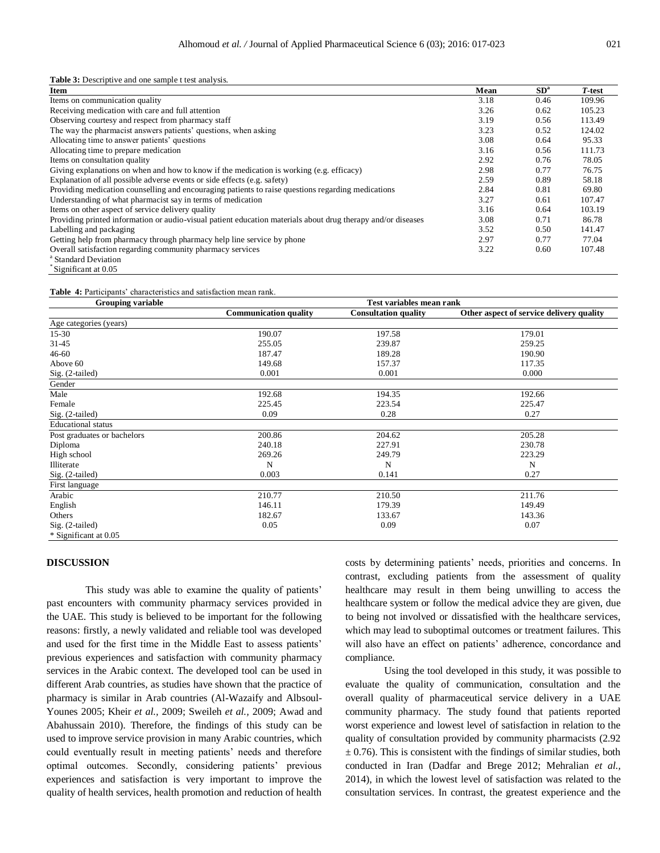**Table 3:** Descriptive and one sample t test analysis.

| Item                                                                                                         | Mean | SD <sup>a</sup> | T-test |
|--------------------------------------------------------------------------------------------------------------|------|-----------------|--------|
| Items on communication quality                                                                               | 3.18 | 0.46            | 109.96 |
| Receiving medication with care and full attention                                                            | 3.26 | 0.62            | 105.23 |
| Observing courtesy and respect from pharmacy staff                                                           | 3.19 | 0.56            | 113.49 |
| The way the pharmacist answers patients' questions, when asking                                              | 3.23 | 0.52            | 124.02 |
| Allocating time to answer patients' questions                                                                | 3.08 | 0.64            | 95.33  |
| Allocating time to prepare medication                                                                        | 3.16 | 0.56            | 111.73 |
| Items on consultation quality                                                                                | 2.92 | 0.76            | 78.05  |
| Giving explanations on when and how to know if the medication is working (e.g. efficacy)                     | 2.98 | 0.77            | 76.75  |
| Explanation of all possible adverse events or side effects (e.g. safety)                                     | 2.59 | 0.89            | 58.18  |
| Providing medication counselling and encouraging patients to raise questions regarding medications           | 2.84 | 0.81            | 69.80  |
| Understanding of what pharmacist say in terms of medication                                                  | 3.27 | 0.61            | 107.47 |
| Items on other aspect of service delivery quality                                                            | 3.16 | 0.64            | 103.19 |
| Providing printed information or audio-visual patient education materials about drug therapy and/or diseases | 3.08 | 0.71            | 86.78  |
| Labelling and packaging                                                                                      | 3.52 | 0.50            | 141.47 |
| Getting help from pharmacy through pharmacy help line service by phone                                       | 2.97 | 0.77            | 77.04  |
| Overall satisfaction regarding community pharmacy services                                                   | 3.22 | 0.60            | 107.48 |
| <sup>a</sup> Standard Deviation                                                                              |      |                 |        |

\* Significant at 0.05

**Table 4:** Participants' characteristics and satisfaction mean rank.

| Grouping variable           | Test variables mean rank |                             |                                          |  |
|-----------------------------|--------------------------|-----------------------------|------------------------------------------|--|
|                             | Communication quality    | <b>Consultation quality</b> | Other aspect of service delivery quality |  |
| Age categories (years)      |                          |                             |                                          |  |
| $15 - 30$                   | 190.07                   | 197.58                      | 179.01                                   |  |
| 31-45                       | 255.05                   | 239.87                      | 259.25                                   |  |
| $46 - 60$                   | 187.47                   | 189.28                      | 190.90                                   |  |
| Above 60                    | 149.68                   | 157.37                      | 117.35                                   |  |
| Sig. (2-tailed)             | 0.001                    | 0.001                       | 0.000                                    |  |
| Gender                      |                          |                             |                                          |  |
| Male                        | 192.68                   | 194.35                      | 192.66                                   |  |
| Female                      | 225.45                   | 223.54                      | 225.47                                   |  |
| Sig. (2-tailed)             | 0.09                     | 0.28                        | 0.27                                     |  |
| <b>Educational</b> status   |                          |                             |                                          |  |
| Post graduates or bachelors | 200.86                   | 204.62                      | 205.28                                   |  |
| Diploma                     | 240.18                   | 227.91                      | 230.78                                   |  |
| High school                 | 269.26                   | 249.79                      | 223.29                                   |  |
| Illiterate                  | N                        | N                           | N                                        |  |
| Sig. (2-tailed)             | 0.003                    | 0.141                       | 0.27                                     |  |
| First language              |                          |                             |                                          |  |
| Arabic                      | 210.77                   | 210.50                      | 211.76                                   |  |
| English                     | 146.11                   | 179.39                      | 149.49                                   |  |
| Others                      | 182.67                   | 133.67                      | 143.36                                   |  |
| $Sig. (2-tailed)$           | 0.05                     | 0.09                        | 0.07                                     |  |
| * Significant at 0.05       |                          |                             |                                          |  |

# **DISCUSSION**

This study was able to examine the quality of patients' past encounters with community pharmacy services provided in the UAE. This study is believed to be important for the following reasons: firstly, a newly validated and reliable tool was developed and used for the first time in the Middle East to assess patients' previous experiences and satisfaction with community pharmacy services in the Arabic context. The developed tool can be used in different Arab countries, as studies have shown that the practice of pharmacy is similar in Arab countries (Al-Wazaify and Albsoul-Younes 2005; Kheir *et al.,* 2009; Sweileh *et al.,* 2009; Awad and Abahussain 2010). Therefore, the findings of this study can be used to improve service provision in many Arabic countries, which could eventually result in meeting patients' needs and therefore optimal outcomes. Secondly, considering patients' previous experiences and satisfaction is very important to improve the quality of health services, health promotion and reduction of health costs by determining patients' needs, priorities and concerns. In contrast, excluding patients from the assessment of quality healthcare may result in them being unwilling to access the healthcare system or follow the medical advice they are given, due to being not involved or dissatisfied with the healthcare services, which may lead to suboptimal outcomes or treatment failures. This will also have an effect on patients' adherence, concordance and compliance.

Using the tool developed in this study, it was possible to evaluate the quality of communication, consultation and the overall quality of pharmaceutical service delivery in a UAE community pharmacy. The study found that patients reported worst experience and lowest level of satisfaction in relation to the quality of consultation provided by community pharmacists (2.92  $\pm$  0.76). This is consistent with the findings of similar studies, both conducted in Iran (Dadfar and Brege 2012; Mehralian *et al.,*  2014), in which the lowest level of satisfaction was related to the consultation services. In contrast, the greatest experience and the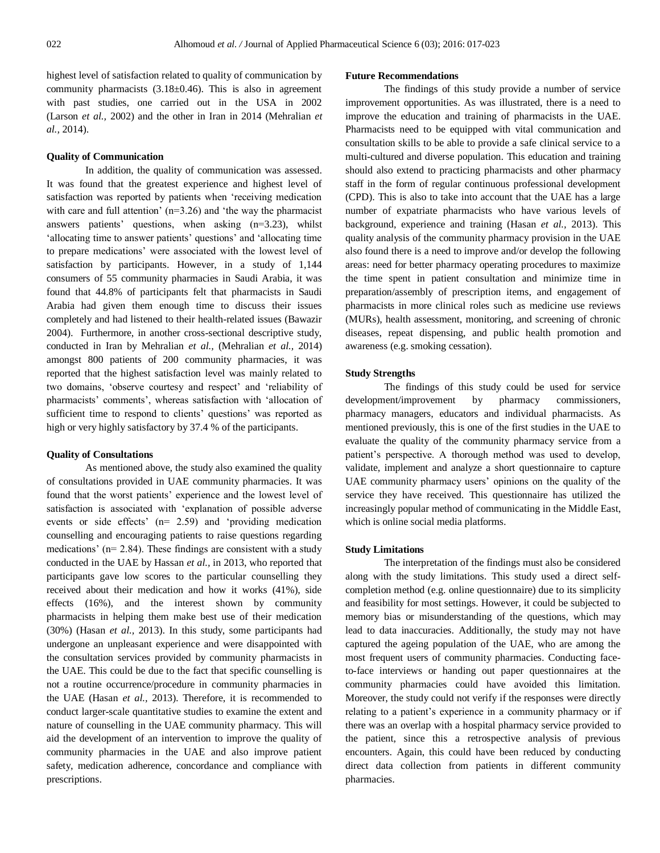highest level of satisfaction related to quality of communication by community pharmacists  $(3.18 \pm 0.46)$ . This is also in agreement with past studies, one carried out in the USA in 2002 (Larson *et al.,* 2002) and the other in Iran in 2014 (Mehralian *et al.,* 2014).

### **Quality of Communication**

In addition, the quality of communication was assessed. It was found that the greatest experience and highest level of satisfaction was reported by patients when 'receiving medication with care and full attention'  $(n=3.26)$  and 'the way the pharmacist answers patients' questions, when asking (n=3.23), whilst 'allocating time to answer patients' questions' and 'allocating time to prepare medications' were associated with the lowest level of satisfaction by participants. However, in a study of 1,144 consumers of 55 community pharmacies in Saudi Arabia, it was found that 44.8% of participants felt that pharmacists in Saudi Arabia had given them enough time to discuss their issues completely and had listened to their health-related issues (Bawazir 2004). Furthermore, in another cross-sectional descriptive study, conducted in Iran by Mehralian *et al.,* (Mehralian *et al.,* 2014) amongst 800 patients of 200 community pharmacies, it was reported that the highest satisfaction level was mainly related to two domains, 'observe courtesy and respect' and 'reliability of pharmacists' comments', whereas satisfaction with 'allocation of sufficient time to respond to clients' questions' was reported as high or very highly satisfactory by 37.4 % of the participants.

# **Quality of Consultations**

As mentioned above, the study also examined the quality of consultations provided in UAE community pharmacies. It was found that the worst patients' experience and the lowest level of satisfaction is associated with 'explanation of possible adverse events or side effects' (n= 2.59) and 'providing medication counselling and encouraging patients to raise questions regarding medications' (n= 2.84). These findings are consistent with a study conducted in the UAE by Hassan *et al.,* in 2013, who reported that participants gave low scores to the particular counselling they received about their medication and how it works (41%), side effects (16%), and the interest shown by community pharmacists in helping them make best use of their medication (30%) (Hasan *et al.,* 2013). In this study, some participants had undergone an unpleasant experience and were disappointed with the consultation services provided by community pharmacists in the UAE. This could be due to the fact that specific counselling is not a routine occurrence/procedure in community pharmacies in the UAE (Hasan *et al.,* 2013). Therefore, it is recommended to conduct larger-scale quantitative studies to examine the extent and nature of counselling in the UAE community pharmacy. This will aid the development of an intervention to improve the quality of community pharmacies in the UAE and also improve patient safety, medication adherence, concordance and compliance with prescriptions.

#### **Future Recommendations**

The findings of this study provide a number of service improvement opportunities. As was illustrated, there is a need to improve the education and training of pharmacists in the UAE. Pharmacists need to be equipped with vital communication and consultation skills to be able to provide a safe clinical service to a multi-cultured and diverse population. This education and training should also extend to practicing pharmacists and other pharmacy staff in the form of regular continuous professional development (CPD). This is also to take into account that the UAE has a large number of expatriate pharmacists who have various levels of background, experience and training (Hasan *et al.,* 2013). This quality analysis of the community pharmacy provision in the UAE also found there is a need to improve and/or develop the following areas: need for better pharmacy operating procedures to maximize the time spent in patient consultation and minimize time in preparation/assembly of prescription items, and engagement of pharmacists in more clinical roles such as medicine use reviews (MURs), health assessment, monitoring, and screening of chronic diseases, repeat dispensing, and public health promotion and awareness (e.g. smoking cessation).

# **Study Strengths**

The findings of this study could be used for service development/improvement by pharmacy commissioners, pharmacy managers, educators and individual pharmacists. As mentioned previously, this is one of the first studies in the UAE to evaluate the quality of the community pharmacy service from a patient's perspective. A thorough method was used to develop, validate, implement and analyze a short questionnaire to capture UAE community pharmacy users' opinions on the quality of the service they have received. This questionnaire has utilized the increasingly popular method of communicating in the Middle East, which is online social media platforms.

#### **Study Limitations**

The interpretation of the findings must also be considered along with the study limitations. This study used a direct selfcompletion method (e.g. online questionnaire) due to its simplicity and feasibility for most settings. However, it could be subjected to memory bias or misunderstanding of the questions, which may lead to data inaccuracies. Additionally, the study may not have captured the ageing population of the UAE, who are among the most frequent users of community pharmacies. Conducting faceto-face interviews or handing out paper questionnaires at the community pharmacies could have avoided this limitation. Moreover, the study could not verify if the responses were directly relating to a patient's experience in a community pharmacy or if there was an overlap with a hospital pharmacy service provided to the patient, since this a retrospective analysis of previous encounters. Again, this could have been reduced by conducting direct data collection from patients in different community pharmacies.